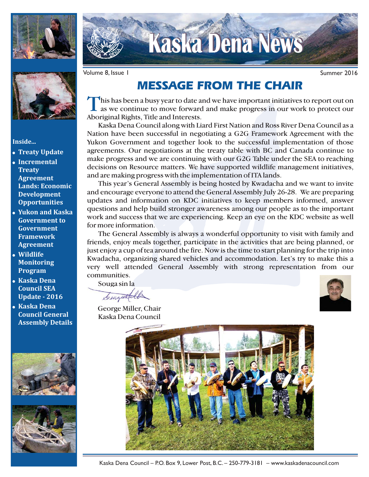



**Inside...**

- **Treaty Update**
- **Incremental Treaty Agreement Lands: Economic Development Opportunities**
- **Yukon and Kaska Government to Government Framework Agreement**
- **Wildlife Monitoring Program**
- **Kaska Dena Council SEA Update - 2016**
- **Kaska Dena Council General Assembly Details**







**Kaska Dena News Kaska Dena News**

Volume 8, Issue 1 8 November 2016 and the United States of Summer 2016

## **MESSAGE FROM THE CHAIR**

This has been a busy year to date and we have important initiatives to report out on<br>as we continue to move forward and make progress in our work to protect our Aboriginal Rights, Title and Interests.

Kaska Dena Council along with Liard First Nation and Ross River Dena Council as a Nation have been successful in negotiating a G2G Framework Agreement with the Yukon Government and together look to the successful implementation of those agreements. Our negotiations at the treaty table with BC and Canada continue to make progress and we are continuing with our G2G Table under the SEA to reaching decisions on Resource matters. We have supported wildlife management initiatives, and are making progress with the implementation of ITA lands.

This year's General Assembly is being hosted by Kwadacha and we want to invite and encourage everyone to attend the General Assembly July 26-28. We are preparing updates and information on KDC initiatives to keep members informed, answer questions and help build stronger awareness among our people as to the important work and success that we are experiencing. Keep an eye on the KDC website as well for more information.

The General Assembly is always a wonderful opportunity to visit with family and friends, enjoy meals together, participate in the activities that are being planned, or just enjoy a cup of tea around the fire. Now is the time to start planning for the trip into Kwadacha, organizing shared vehicles and accommodation. Let's try to make this a very well attended General Assembly with strong representation from our communities.

Souga sin la

Senzuttel

George Miller, Chair Kaska Dena Council



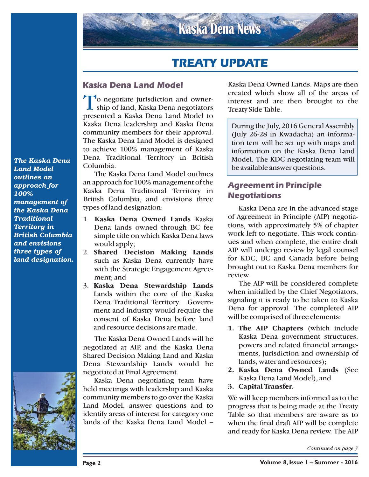## **TREATY UPDATE**

#### **Kaska Dena Land Model**

To negotiate jurisdiction and ownership of land, Kaska Dena negotiators presented a Kaska Dena Land Model to Kaska Dena leadership and Kaska Dena community members for their approval. The Kaska Dena Land Model is designed to achieve 100% management of Kaska Dena Traditional Territory in British Columbia.

The Kaska Dena Land Model outlines an approach for 100% management of the Kaska Dena Traditional Territory in British Columbia, and envisions three types of land designation:

- 1. Kaska Dena Owned Lands Kaska Dena lands owned through BC fee simple title on which Kaska Dena laws would apply;
- 2. **Shared Decision Making Lands** such as Kaska Dena currently have with the Strategic Engagement Agreement; and
- 3. **Kaska Dena Stewardship Lands** Lands within the core of the Kaska Dena Traditional Territory. Government and industry would require the consent of Kaska Dena before land and resource decisions are made.

The Kaska Dena Owned Lands will be negotiated at AIP, and the Kaska Dena Shared Decision Making Land and Kaska Dena Stewardship Lands would be negotiated at Final Agreement.

Kaska Dena negotiating team have held meetings with leadership and Kaska community members to go over the Kaska Land Model, answer questions and to identify areas of interest for category one lands of the Kaska Dena Land Model –

Kaska Dena Owned Lands. Maps are then created which show all of the areas of interest and are then brought to the Treaty Side Table.

During the July, 2016 General Assembly (July 26-28 in Kwadacha) an information tent will be set up with maps and information on the Kaska Dena Land Model. The KDC negotiating team will be available answer questions.

### **Agreement in Principle Negotiations**

Kaska Dena are in the advanced stage of Agreement in Principle (AIP) negotiations, with approximately 5% of chapter work left to negotiate. This work continues and when complete, the entire draft AIP will undergo review by legal counsel for KDC, BC and Canada before being brought out to Kaska Dena members for review.

The AIP will be considered complete when initialled by the Chief Negotiators, signaling it is ready to be taken to Kaska Dena for approval. The completed AIP will be comprised of three elements:

- **1. The AIP Chapters** (which include Kaska Dena government structures, powers and related financial arrangements, jurisdiction and ownership of lands, water and resources);
- **2. Kaska Dena Owned Lands** (See Kaska Dena Land Model), and
- **3. Capital Transfer.**

We will keep members informed as to the progress that is being made at the Treaty Table so that members are aware as to when the final draft AIP will be complete and ready for Kaska Dena review. The AIP

*Continued on page 3*

*The Kaska Dena Land Model outlines an approach for 100% management of the Kaska Dena Traditional Territory in British Columbia and envisions three types of land designation.*

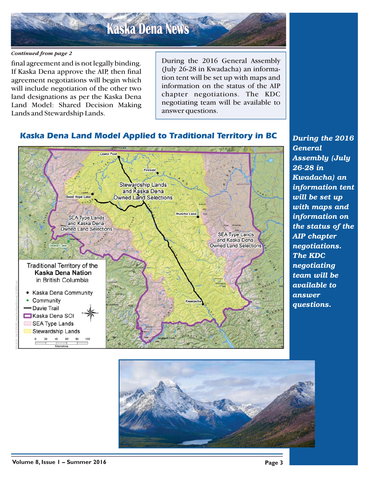# **Kaska Dena News Kaska Dena News**

#### *Continued from page 2*

final agreement and is not legally binding. If Kaska Dena approve the AIP, then final agreement negotiations will begin which will include negotiation of the other two land designations as per the Kaska Dena Land Model: Shared Decision Making Lands and Stewardship Lands.

During the 2016 General Assembly (July 26-28 in Kwadacha) an information tent will be set up with maps and information on the status of the AIP chapter negotiations. The KDC negotiating team will be available to answer questions.

## **Kaska Dena Land Model Applied to Traditional Territory in BC**



*During the 2016 General Assembly (July 26-28 in Kwadacha) an information tent will be set up with maps and information on the status of the AIP chapter negotiations. The KDC negotiating team will be available to answer questions.*

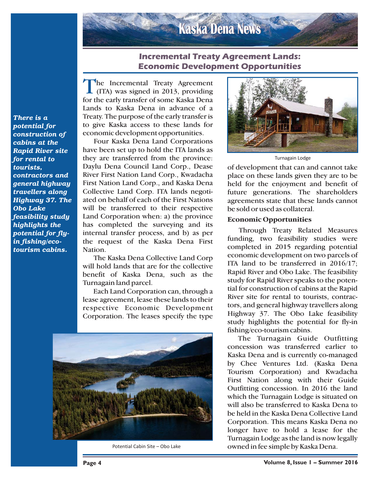# **Kaska Dena News Kaska Dena News**

#### **Incremental Treaty Agreement Lands: Economic Development Opportunities**

The Incremental Treaty Agreement<br>
(ITA) was signed in 2013, providing<br>
factbe each transfer of some Keele Dans for the early transfer of some Kaska Dena Lands to Kaska Dena in advance of a Treaty. The purpose of the early transfer is to give Kaska access to these lands for economic development opportunities.

Four Kaska Dena Land Corporations have been set up to hold the ITA lands as they are transferred from the province: Daylu Dena Council Land Corp., Dease River First Nation Land Corp., Kwadacha First Nation Land Corp., and Kaska Dena Collective Land Corp. ITA lands negotiated on behalf of each of the First Nations will be transferred to their respective Land Corporation when: a) the province has completed the surveying and its internal transfer process, and b) as per the request of the Kaska Dena First Nation.

The Kaska Dena Collective Land Corp will hold lands that are for the collective benefit of Kaska Dena, such as the Turnagain land parcel.

Each Land Corporation can, through a lease agreement, lease these lands to their respective Economic Development Corporation. The leases specify the type



Potential Cabin Site – Obo Lake



Turnagain Lodge

of development that can and cannot take place on these lands given they are to be held for the enjoyment and benefit of future generations. The shareholders agreements state that these lands cannot be sold or used as collateral.

#### **Economic Opportunities**

Through Treaty Related Measures funding, two feasibility studies were completed in 2015 regarding potential economic development on two parcels of ITA land to be transferred in 2016/17; Rapid River and Obo Lake. The feasibility study for Rapid River speaks to the potential for construction of cabins at the Rapid River site for rental to tourists, contractors, and general highway travellers along Highway 37. The Obo Lake feasibility study highlights the potential for fly-in fishing/eco-tourism cabins.

The Turnagain Guide Outfitting concession was transferred earlier to Kaska Dena and is currently co-managed by Chee Ventures Ltd. (Kaska Dena Tourism Corporation) and Kwadacha First Nation along with their Guide Outfitting concession. In 2016 the land which the Turnagain Lodge is situated on will also be transferred to Kaska Dena to be held in the Kaska Dena Collective Land Corporation. This means Kaska Dena no longer have to hold a lease for the Turnagain Lodge as the land is now legally owned in fee simple by Kaska Dena.

*There is a potential for construction of cabins at the Rapid River site for rental to tourists, contractors and general highway travellers along Highway 37. The Obo Lake feasibility study highlights the potential for flyin fishing/ecotourism cabins.*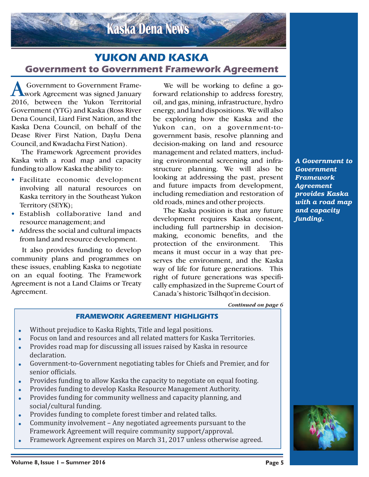## **YUKON AND KASKA Government to Government Framework Agreement**

**Kaska Dena News Kaska Dena News**

A Government to Government Frame-<br>work Agreement was signed January 2016, between the Yukon Territorial Government (YTG) and Kaska (Ross River Dena Council, Liard First Nation, and the Kaska Dena Council, on behalf of the Dease River First Nation, Daylu Dena Council, and Kwadacha First Nation).

The Framework Agreement provides Kaska with a road map and capacity funding to allow Kaska the ability to:

- Facilitate economic development involving all natural resources on Kaska territory in the Southeast Yukon Territory (SEYK);
- Establish collaborative land and resource management; and
- Address the social and cultural impacts from land and resource development.

It also provides funding to develop community plans and programmes on these issues, enabling Kaska to negotiate on an equal footing. The Framework Agreement is not a Land Claims or Treaty Agreement.

We will be working to define a goforward relationship to address forestry, oil, and gas, mining, infrastructure, hydro energy, and land dispositions. We will also be exploring how the Kaska and the Yukon can, on a government-togovernment basis, resolve planning and decision-making on land and resource management and related matters, including environmental screening and infrastructure planning. We will also be looking at addressing the past, present and future impacts from development, including remediation and restoration of old roads, mines and other projects.

The Kaska position is that any future development requires Kaska consent, including full partnership in decisionmaking, economic benefits, and the protection of the environment. This means it must occur in a way that preserves the environment, and the Kaska way of life for future generations. This right of future generations was specifically emphasized in the Supreme Court of Canada's historic Tsilhqot'in decision.

*A Government to Government Framework Agreement provides Kaska with a road map and capacity funding.*

*Continued on page 6*

#### **FRAMEWORK AGREEMENT HIGHLIGHTS**

- $\bullet$ Without prejudice to Kaska Rights, Title and legal positions.
- $\bullet$ Focus on land and resources and all related matters for Kaska Territories.
- $\bullet$  Provides road map for discussing all issues raised by Kaska in resource declaration.
- - Government-to-Government negotiating tables for Chiefs and Premier, and for senior officials.
- -Provides funding to allow Kaska the capacity to negotiate on equal footing.
- -Provides funding to develop Kaska Resource Management Authority.
- $\bullet$  Provides funding for community wellness and capacity planning, and social/cultural funding.
- $\bullet$ Provides funding to complete forest timber and related talks.
- $\bullet$  Community involvement – Any negotiated agreements pursuant to the Framework Agreement will require community support/approval.
- -Framework Agreement expires on March 31, 2017 unless otherwise agreed.

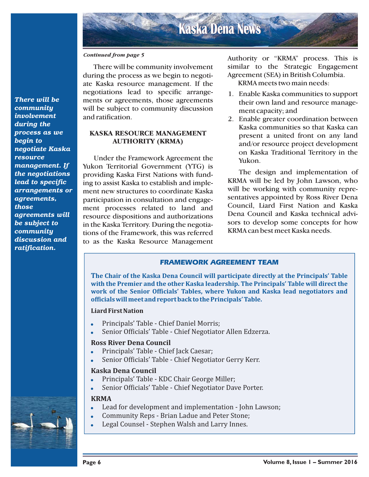#### *Continued from page 5*

There will be community involvement during the process as we begin to negotiate Kaska resource management. If the negotiations lead to specific arrangements or agreements, those agreements will be subject to community discussion and ratification.

#### **KASKA RESOURCE MANAGEMENT AUTHORITY (KRMA)**

Under the Framework Agreement the Yukon Territorial Government (YTG) is providing Kaska First Nations with funding to assist Kaska to establish and implement new structures to coordinate Kaska participation in consultation and engagement processes related to land and resource dispositions and authorizations in the Kaska Territory. During the negotiations of the Framework, this was referred to as the Kaska Resource Management

Authority or "KRMA" process. This is similar to the Strategic Engagement Agreement (SEA) in British Columbia.

KRMA meets two main needs:

- 1. Enable Kaska communities to support their own land and resource management capacity; and
- 2. Enable greater coordination between Kaska communities so that Kaska can present a united front on any land and/or resource project development on Kaska Traditional Territory in the Yukon.

The design and implementation of KRMA will be led by John Lawson, who will be working with community representatives appointed by Ross River Dena Council, Liard First Nation and Kaska Dena Council and Kaska technical advisors to develop some concepts for how KRMA can best meet Kaska needs.

#### **FRAMEWORK AGREEMENT TEAM**

**The Chair of the Kaska Dena Council will participate directly at the Principals' Table with the Premier and the other Kaska leadership. The Principals' Table will direct the work of the Senior Officials' Tables, where Yukon and Kaska lead negotiators and officials will meet and report back to the Principals' Table.**

#### **Liard First Nation**

- -Principals' Table - Chief Daniel Morris;
- -Senior Officials' Table - Chief Negotiator Allen Edzerza.

#### **Ross River Dena Council**

- $\bullet$ Principals' Table - Chief Jack Caesar;
- -Senior Officials' Table - Chief Negotiator Gerry Kerr.

#### **Kaska Dena Council**

- -Principals' Table - KDC Chair George Miller;
- -Senior Officials' Table - Chief Negotiator Dave Porter.

#### **KRMA**

- -Lead for development and implementation - John Lawson;
- Community Reps Brian Ladue and Peter Stone;
- -Legal Counsel - Stephen Walsh and Larry Innes.

*There will be community involvement during the process as we begin to negotiate Kaska resource management. If the negotiations lead to specific arrangements or agreements, those agreements will be subject to community discussion and ratification.*



-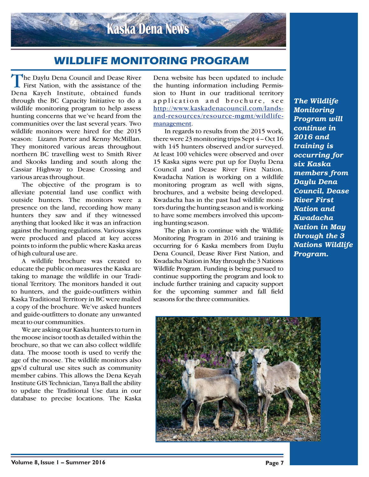

## **WILDLIFE MONITORING PROGRAM**

The Daylu Dena Council and Dease River<br>First Nation, with the assistance of the Dena Kayeh Institute, obtained funds through the BC Capacity Initiative to do a wildlife monitoring program to help assess hunting concerns that we've heard from the communities over the last several years. Two wildlife monitors were hired for the 2015 season: Lizann Porter and Kenny McMillan. They monitored various areas throughout northern BC travelling west to Smith River and Skooks landing and south along the Cassiar Highway to Dease Crossing and various areas throughout.

The objective of the program is to alleviate potential land use conflict with outside hunters. The monitors were a presence on the land, recording how many hunters they saw and if they witnessed anything that looked like it was an infraction against the hunting regulations. Various signs were produced and placed at key access points to inform the public where Kaska areas of high cultural use are.

A wildlife brochure was created to educate the public on measures the Kaska are taking to manage the wildlife in our Traditional Territory. The monitors handed it out to hunters, and the guide-outfitters within Kaska Traditional Territory in BC were mailed a copy of the brochure. We've asked hunters and guide-outfitters to donate any unwanted meat to our communities.

We are asking our Kaska hunters to turn in the moose incisor tooth as detailed within the brochure, so that we can also collect wildlife data. The moose tooth is used to verify the age of the moose. The wildlife monitors also gps'd cultural use sites such as community member cabins. This allows the Dena Keyah Institute GIS Technician, Tanya Ball the ability to update the Traditional Use data in our database to precise locations. The Kaska

Dena website has been updated to include the hunting information including Permission to Hunt in our traditional territory application and brochure, see [http://www.kaskadenacouncil.com/lands](http://www.kaskadenacouncil.com/lands-and-resources/resource-mgmt/wildlife-management)and-resources/resource-mgmt/wildlifemanagement.

In regards to results from the 2015 work, there were 23 monitoring trips Sept 4 – Oct 16 with 145 hunters observed and/or surveyed. At least 100 vehicles were observed and over 15 Kaska signs were put up for Daylu Dena Council and Dease River First Nation. Kwadacha Nation is working on a wildlife monitoring program as well with signs, brochures, and a website being developed. Kwadacha has in the past had wildlife monitors during the hunting season and is working to have some members involved this upcoming hunting season.

The plan is to continue with the Wildlife Monitoring Program in 2016 and training is occurring for 6 Kaska members from Daylu Dena Council, Dease River First Nation, and Kwadacha Nation in May through the 3 Nations Wildlife Program. Funding is being pursued to continue supporting the program and look to include further training and capacity support for the upcoming summer and fall field seasons for the three communities.

*The Wildlife Monitoring Program will continue in 2016 and training is occurring for six Kaska members from Daylu Dena Council, Dease River First Nation and Kwadacha Nation in May through the 3 Nations Wildlife Program.*